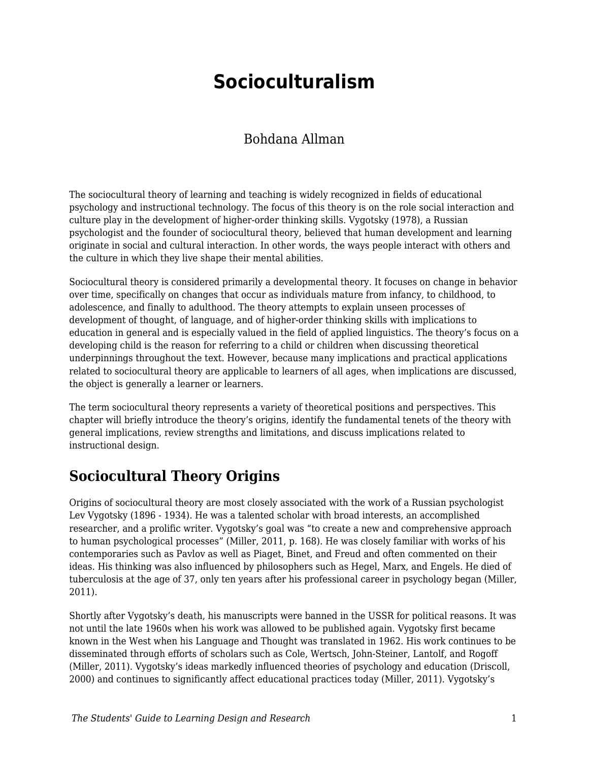# **Socioculturalism**

#### Bohdana Allman

The sociocultural theory of learning and teaching is widely recognized in fields of educational psychology and instructional technology. The focus of this theory is on the role social interaction and culture play in the development of higher-order thinking skills. Vygotsky (1978), a Russian psychologist and the founder of sociocultural theory, believed that human development and learning originate in social and cultural interaction. In other words, the ways people interact with others and the culture in which they live shape their mental abilities.

Sociocultural theory is considered primarily a developmental theory. It focuses on change in behavior over time, specifically on changes that occur as individuals mature from infancy, to childhood, to adolescence, and finally to adulthood. The theory attempts to explain unseen processes of development of thought, of language, and of higher-order thinking skills with implications to education in general and is especially valued in the field of applied linguistics. The theory's focus on a developing child is the reason for referring to a child or children when discussing theoretical underpinnings throughout the text. However, because many implications and practical applications related to sociocultural theory are applicable to learners of all ages, when implications are discussed, the object is generally a learner or learners.

The term sociocultural theory represents a variety of theoretical positions and perspectives. This chapter will briefly introduce the theory's origins, identify the fundamental tenets of the theory with general implications, review strengths and limitations, and discuss implications related to instructional design.

## **Sociocultural Theory Origins**

Origins of sociocultural theory are most closely associated with the work of a Russian psychologist Lev Vygotsky (1896 - 1934). He was a talented scholar with broad interests, an accomplished researcher, and a prolific writer. Vygotsky's goal was "to create a new and comprehensive approach to human psychological processes" (Miller, 2011, p. 168). He was closely familiar with works of his contemporaries such as Pavlov as well as Piaget, Binet, and Freud and often commented on their ideas. His thinking was also influenced by philosophers such as Hegel, Marx, and Engels. He died of tuberculosis at the age of 37, only ten years after his professional career in psychology began (Miller, 2011).

Shortly after Vygotsky's death, his manuscripts were banned in the USSR for political reasons. It was not until the late 1960s when his work was allowed to be published again. Vygotsky first became known in the West when his Language and Thought was translated in 1962. His work continues to be disseminated through efforts of scholars such as Cole, Wertsch, John-Steiner, Lantolf, and Rogoff (Miller, 2011). Vygotsky's ideas markedly influenced theories of psychology and education (Driscoll, 2000) and continues to significantly affect educational practices today (Miller, 2011). Vygotsky's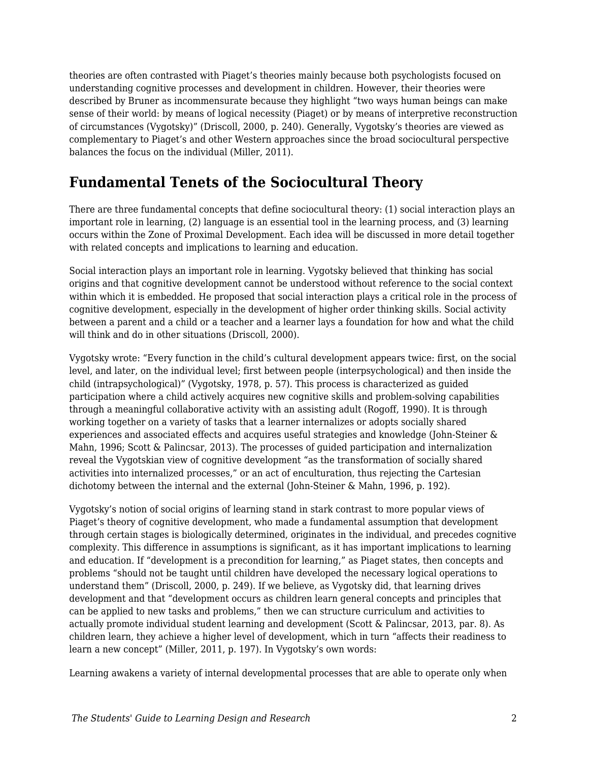theories are often contrasted with Piaget's theories mainly because both psychologists focused on understanding cognitive processes and development in children. However, their theories were described by Bruner as incommensurate because they highlight "two ways human beings can make sense of their world: by means of logical necessity (Piaget) or by means of interpretive reconstruction of circumstances (Vygotsky)" (Driscoll, 2000, p. 240). Generally, Vygotsky's theories are viewed as complementary to Piaget's and other Western approaches since the broad sociocultural perspective balances the focus on the individual (Miller, 2011).

## **Fundamental Tenets of the Sociocultural Theory**

There are three fundamental concepts that define sociocultural theory: (1) social interaction plays an important role in learning, (2) language is an essential tool in the learning process, and (3) learning occurs within the Zone of Proximal Development. Each idea will be discussed in more detail together with related concepts and implications to learning and education.

Social interaction plays an important role in learning. Vygotsky believed that thinking has social origins and that cognitive development cannot be understood without reference to the social context within which it is embedded. He proposed that social interaction plays a critical role in the process of cognitive development, especially in the development of higher order thinking skills. Social activity between a parent and a child or a teacher and a learner lays a foundation for how and what the child will think and do in other situations (Driscoll, 2000).

Vygotsky wrote: "Every function in the child's cultural development appears twice: first, on the social level, and later, on the individual level; first between people (interpsychological) and then inside the child (intrapsychological)" (Vygotsky, 1978, p. 57). This process is characterized as guided participation where a child actively acquires new cognitive skills and problem-solving capabilities through a meaningful collaborative activity with an assisting adult (Rogoff, 1990). It is through working together on a variety of tasks that a learner internalizes or adopts socially shared experiences and associated effects and acquires useful strategies and knowledge (John-Steiner & Mahn, 1996; Scott & Palincsar, 2013). The processes of guided participation and internalization reveal the Vygotskian view of cognitive development "as the transformation of socially shared activities into internalized processes," or an act of enculturation, thus rejecting the Cartesian dichotomy between the internal and the external (John-Steiner & Mahn, 1996, p. 192).

Vygotsky's notion of social origins of learning stand in stark contrast to more popular views of Piaget's theory of cognitive development, who made a fundamental assumption that development through certain stages is biologically determined, originates in the individual, and precedes cognitive complexity. This difference in assumptions is significant, as it has important implications to learning and education. If "development is a precondition for learning," as Piaget states, then concepts and problems "should not be taught until children have developed the necessary logical operations to understand them" (Driscoll, 2000, p. 249). If we believe, as Vygotsky did, that learning drives development and that "development occurs as children learn general concepts and principles that can be applied to new tasks and problems," then we can structure curriculum and activities to actually promote individual student learning and development (Scott & Palincsar, 2013, par. 8). As children learn, they achieve a higher level of development, which in turn "affects their readiness to learn a new concept" (Miller, 2011, p. 197). In Vygotsky's own words:

Learning awakens a variety of internal developmental processes that are able to operate only when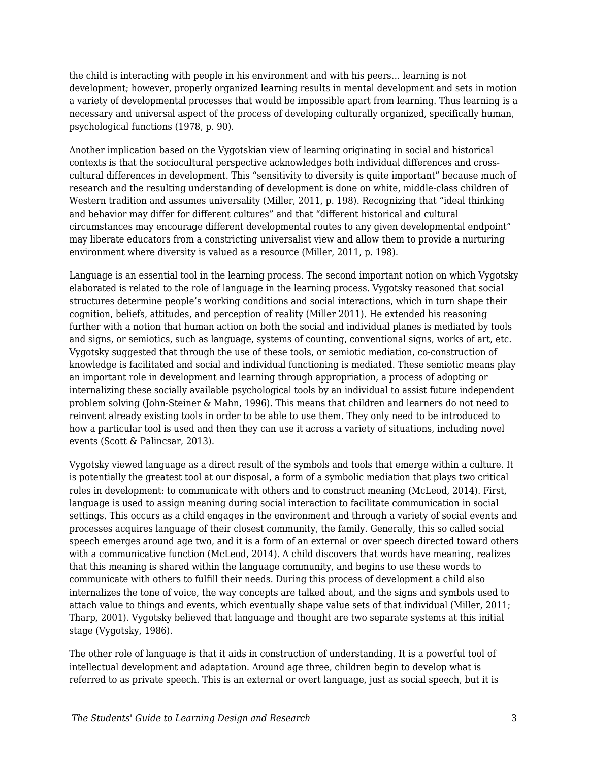the child is interacting with people in his environment and with his peers… learning is not development; however, properly organized learning results in mental development and sets in motion a variety of developmental processes that would be impossible apart from learning. Thus learning is a necessary and universal aspect of the process of developing culturally organized, specifically human, psychological functions (1978, p. 90).

Another implication based on the Vygotskian view of learning originating in social and historical contexts is that the sociocultural perspective acknowledges both individual differences and crosscultural differences in development. This "sensitivity to diversity is quite important" because much of research and the resulting understanding of development is done on white, middle-class children of Western tradition and assumes universality (Miller, 2011, p. 198). Recognizing that "ideal thinking and behavior may differ for different cultures" and that "different historical and cultural circumstances may encourage different developmental routes to any given developmental endpoint" may liberate educators from a constricting universalist view and allow them to provide a nurturing environment where diversity is valued as a resource (Miller, 2011, p. 198).

Language is an essential tool in the learning process. The second important notion on which Vygotsky elaborated is related to the role of language in the learning process. Vygotsky reasoned that social structures determine people's working conditions and social interactions, which in turn shape their cognition, beliefs, attitudes, and perception of reality (Miller 2011). He extended his reasoning further with a notion that human action on both the social and individual planes is mediated by tools and signs, or semiotics, such as language, systems of counting, conventional signs, works of art, etc. Vygotsky suggested that through the use of these tools, or semiotic mediation, co-construction of knowledge is facilitated and social and individual functioning is mediated. These semiotic means play an important role in development and learning through appropriation, a process of adopting or internalizing these socially available psychological tools by an individual to assist future independent problem solving (John-Steiner & Mahn, 1996). This means that children and learners do not need to reinvent already existing tools in order to be able to use them. They only need to be introduced to how a particular tool is used and then they can use it across a variety of situations, including novel events (Scott & Palincsar, 2013).

Vygotsky viewed language as a direct result of the symbols and tools that emerge within a culture. It is potentially the greatest tool at our disposal, a form of a symbolic mediation that plays two critical roles in development: to communicate with others and to construct meaning (McLeod, 2014). First, language is used to assign meaning during social interaction to facilitate communication in social settings. This occurs as a child engages in the environment and through a variety of social events and processes acquires language of their closest community, the family. Generally, this so called social speech emerges around age two, and it is a form of an external or over speech directed toward others with a communicative function (McLeod, 2014). A child discovers that words have meaning, realizes that this meaning is shared within the language community, and begins to use these words to communicate with others to fulfill their needs. During this process of development a child also internalizes the tone of voice, the way concepts are talked about, and the signs and symbols used to attach value to things and events, which eventually shape value sets of that individual (Miller, 2011; Tharp, 2001). Vygotsky believed that language and thought are two separate systems at this initial stage (Vygotsky, 1986).

The other role of language is that it aids in construction of understanding. It is a powerful tool of intellectual development and adaptation. Around age three, children begin to develop what is referred to as private speech. This is an external or overt language, just as social speech, but it is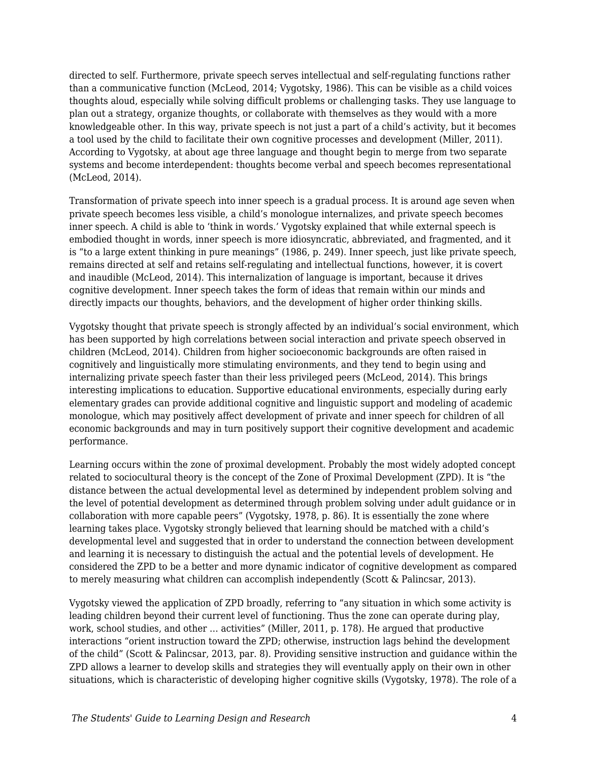directed to self. Furthermore, private speech serves intellectual and self-regulating functions rather than a communicative function (McLeod, 2014; Vygotsky, 1986). This can be visible as a child voices thoughts aloud, especially while solving difficult problems or challenging tasks. They use language to plan out a strategy, organize thoughts, or collaborate with themselves as they would with a more knowledgeable other. In this way, private speech is not just a part of a child's activity, but it becomes a tool used by the child to facilitate their own cognitive processes and development (Miller, 2011). According to Vygotsky, at about age three language and thought begin to merge from two separate systems and become interdependent: thoughts become verbal and speech becomes representational (McLeod, 2014).

Transformation of private speech into inner speech is a gradual process. It is around age seven when private speech becomes less visible, a child's monologue internalizes, and private speech becomes inner speech. A child is able to 'think in words.' Vygotsky explained that while external speech is embodied thought in words, inner speech is more idiosyncratic, abbreviated, and fragmented, and it is "to a large extent thinking in pure meanings" (1986, p. 249). Inner speech, just like private speech, remains directed at self and retains self-regulating and intellectual functions, however, it is covert and inaudible (McLeod, 2014). This internalization of language is important, because it drives cognitive development. Inner speech takes the form of ideas that remain within our minds and directly impacts our thoughts, behaviors, and the development of higher order thinking skills.

Vygotsky thought that private speech is strongly affected by an individual's social environment, which has been supported by high correlations between social interaction and private speech observed in children (McLeod, 2014). Children from higher socioeconomic backgrounds are often raised in cognitively and linguistically more stimulating environments, and they tend to begin using and internalizing private speech faster than their less privileged peers (McLeod, 2014). This brings interesting implications to education. Supportive educational environments, especially during early elementary grades can provide additional cognitive and linguistic support and modeling of academic monologue, which may positively affect development of private and inner speech for children of all economic backgrounds and may in turn positively support their cognitive development and academic performance.

Learning occurs within the zone of proximal development. Probably the most widely adopted concept related to sociocultural theory is the concept of the Zone of Proximal Development (ZPD). It is "the distance between the actual developmental level as determined by independent problem solving and the level of potential development as determined through problem solving under adult guidance or in collaboration with more capable peers" (Vygotsky, 1978, p. 86). It is essentially the zone where learning takes place. Vygotsky strongly believed that learning should be matched with a child's developmental level and suggested that in order to understand the connection between development and learning it is necessary to distinguish the actual and the potential levels of development. He considered the ZPD to be a better and more dynamic indicator of cognitive development as compared to merely measuring what children can accomplish independently (Scott & Palincsar, 2013).

Vygotsky viewed the application of ZPD broadly, referring to "any situation in which some activity is leading children beyond their current level of functioning. Thus the zone can operate during play, work, school studies, and other … activities" (Miller, 2011, p. 178). He argued that productive interactions "orient instruction toward the ZPD; otherwise, instruction lags behind the development of the child" (Scott & Palincsar, 2013, par. 8). Providing sensitive instruction and guidance within the ZPD allows a learner to develop skills and strategies they will eventually apply on their own in other situations, which is characteristic of developing higher cognitive skills (Vygotsky, 1978). The role of a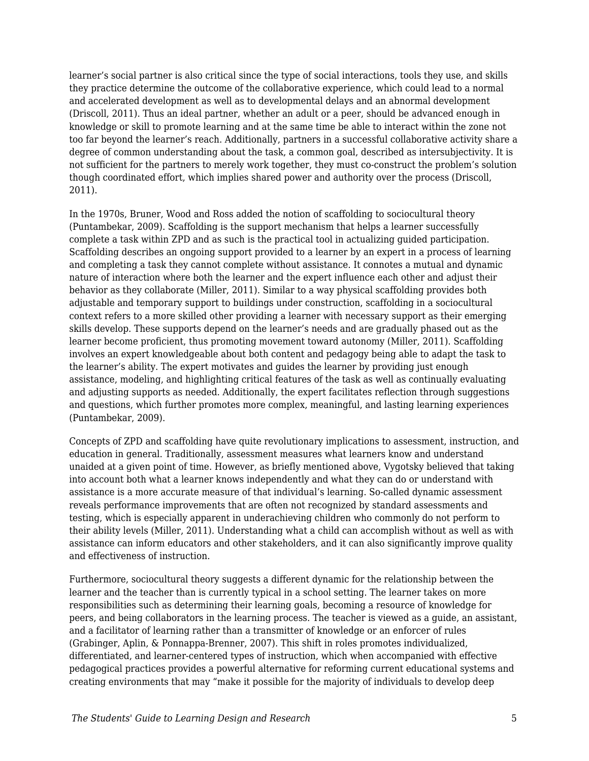learner's social partner is also critical since the type of social interactions, tools they use, and skills they practice determine the outcome of the collaborative experience, which could lead to a normal and accelerated development as well as to developmental delays and an abnormal development (Driscoll, 2011). Thus an ideal partner, whether an adult or a peer, should be advanced enough in knowledge or skill to promote learning and at the same time be able to interact within the zone not too far beyond the learner's reach. Additionally, partners in a successful collaborative activity share a degree of common understanding about the task, a common goal, described as intersubjectivity. It is not sufficient for the partners to merely work together, they must co-construct the problem's solution though coordinated effort, which implies shared power and authority over the process (Driscoll, 2011).

In the 1970s, Bruner, Wood and Ross added the notion of scaffolding to sociocultural theory (Puntambekar, 2009). Scaffolding is the support mechanism that helps a learner successfully complete a task within ZPD and as such is the practical tool in actualizing guided participation. Scaffolding describes an ongoing support provided to a learner by an expert in a process of learning and completing a task they cannot complete without assistance. It connotes a mutual and dynamic nature of interaction where both the learner and the expert influence each other and adjust their behavior as they collaborate (Miller, 2011). Similar to a way physical scaffolding provides both adjustable and temporary support to buildings under construction, scaffolding in a sociocultural context refers to a more skilled other providing a learner with necessary support as their emerging skills develop. These supports depend on the learner's needs and are gradually phased out as the learner become proficient, thus promoting movement toward autonomy (Miller, 2011). Scaffolding involves an expert knowledgeable about both content and pedagogy being able to adapt the task to the learner's ability. The expert motivates and guides the learner by providing just enough assistance, modeling, and highlighting critical features of the task as well as continually evaluating and adjusting supports as needed. Additionally, the expert facilitates reflection through suggestions and questions, which further promotes more complex, meaningful, and lasting learning experiences (Puntambekar, 2009).

Concepts of ZPD and scaffolding have quite revolutionary implications to assessment, instruction, and education in general. Traditionally, assessment measures what learners know and understand unaided at a given point of time. However, as briefly mentioned above, Vygotsky believed that taking into account both what a learner knows independently and what they can do or understand with assistance is a more accurate measure of that individual's learning. So-called dynamic assessment reveals performance improvements that are often not recognized by standard assessments and testing, which is especially apparent in underachieving children who commonly do not perform to their ability levels (Miller, 2011). Understanding what a child can accomplish without as well as with assistance can inform educators and other stakeholders, and it can also significantly improve quality and effectiveness of instruction.

Furthermore, sociocultural theory suggests a different dynamic for the relationship between the learner and the teacher than is currently typical in a school setting. The learner takes on more responsibilities such as determining their learning goals, becoming a resource of knowledge for peers, and being collaborators in the learning process. The teacher is viewed as a guide, an assistant, and a facilitator of learning rather than a transmitter of knowledge or an enforcer of rules (Grabinger, Aplin, & Ponnappa-Brenner, 2007). This shift in roles promotes individualized, differentiated, and learner-centered types of instruction, which when accompanied with effective pedagogical practices provides a powerful alternative for reforming current educational systems and creating environments that may "make it possible for the majority of individuals to develop deep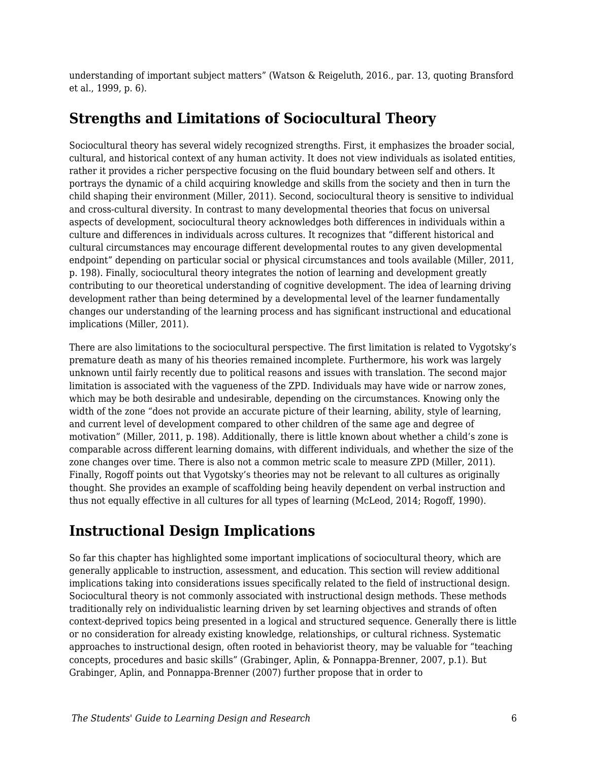understanding of important subject matters" (Watson & Reigeluth, 2016., par. 13, quoting Bransford et al., 1999, p. 6).

# **Strengths and Limitations of Sociocultural Theory**

Sociocultural theory has several widely recognized strengths. First, it emphasizes the broader social, cultural, and historical context of any human activity. It does not view individuals as isolated entities, rather it provides a richer perspective focusing on the fluid boundary between self and others. It portrays the dynamic of a child acquiring knowledge and skills from the society and then in turn the child shaping their environment (Miller, 2011). Second, sociocultural theory is sensitive to individual and cross-cultural diversity. In contrast to many developmental theories that focus on universal aspects of development, sociocultural theory acknowledges both differences in individuals within a culture and differences in individuals across cultures. It recognizes that "different historical and cultural circumstances may encourage different developmental routes to any given developmental endpoint" depending on particular social or physical circumstances and tools available (Miller, 2011, p. 198). Finally, sociocultural theory integrates the notion of learning and development greatly contributing to our theoretical understanding of cognitive development. The idea of learning driving development rather than being determined by a developmental level of the learner fundamentally changes our understanding of the learning process and has significant instructional and educational implications (Miller, 2011).

There are also limitations to the sociocultural perspective. The first limitation is related to Vygotsky's premature death as many of his theories remained incomplete. Furthermore, his work was largely unknown until fairly recently due to political reasons and issues with translation. The second major limitation is associated with the vagueness of the ZPD. Individuals may have wide or narrow zones, which may be both desirable and undesirable, depending on the circumstances. Knowing only the width of the zone "does not provide an accurate picture of their learning, ability, style of learning, and current level of development compared to other children of the same age and degree of motivation" (Miller, 2011, p. 198). Additionally, there is little known about whether a child's zone is comparable across different learning domains, with different individuals, and whether the size of the zone changes over time. There is also not a common metric scale to measure ZPD (Miller, 2011). Finally, Rogoff points out that Vygotsky's theories may not be relevant to all cultures as originally thought. She provides an example of scaffolding being heavily dependent on verbal instruction and thus not equally effective in all cultures for all types of learning (McLeod, 2014; Rogoff, 1990).

# **Instructional Design Implications**

So far this chapter has highlighted some important implications of sociocultural theory, which are generally applicable to instruction, assessment, and education. This section will review additional implications taking into considerations issues specifically related to the field of instructional design. Sociocultural theory is not commonly associated with instructional design methods. These methods traditionally rely on individualistic learning driven by set learning objectives and strands of often context-deprived topics being presented in a logical and structured sequence. Generally there is little or no consideration for already existing knowledge, relationships, or cultural richness. Systematic approaches to instructional design, often rooted in behaviorist theory, may be valuable for "teaching concepts, procedures and basic skills" (Grabinger, Aplin, & Ponnappa-Brenner, 2007, p.1). But Grabinger, Aplin, and Ponnappa-Brenner (2007) further propose that in order to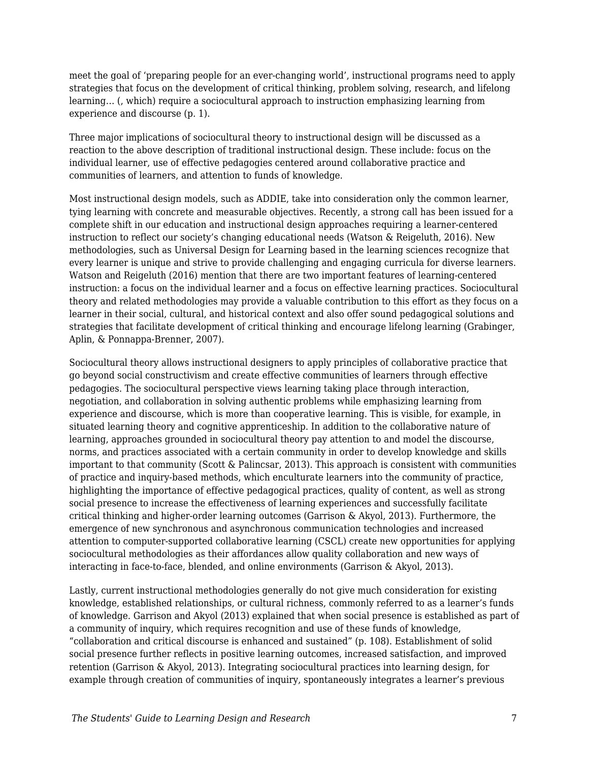meet the goal of 'preparing people for an ever-changing world', instructional programs need to apply strategies that focus on the development of critical thinking, problem solving, research, and lifelong learning… (, which) require a sociocultural approach to instruction emphasizing learning from experience and discourse (p. 1).

Three major implications of sociocultural theory to instructional design will be discussed as a reaction to the above description of traditional instructional design. These include: focus on the individual learner, use of effective pedagogies centered around collaborative practice and communities of learners, and attention to funds of knowledge.

Most instructional design models, such as ADDIE, take into consideration only the common learner, tying learning with concrete and measurable objectives. Recently, a strong call has been issued for a complete shift in our education and instructional design approaches requiring a learner-centered instruction to reflect our society's changing educational needs (Watson & Reigeluth, 2016). New methodologies, such as Universal Design for Learning based in the learning sciences recognize that every learner is unique and strive to provide challenging and engaging curricula for diverse learners. Watson and Reigeluth (2016) mention that there are two important features of learning-centered instruction: a focus on the individual learner and a focus on effective learning practices. Sociocultural theory and related methodologies may provide a valuable contribution to this effort as they focus on a learner in their social, cultural, and historical context and also offer sound pedagogical solutions and strategies that facilitate development of critical thinking and encourage lifelong learning (Grabinger, Aplin, & Ponnappa-Brenner, 2007).

Sociocultural theory allows instructional designers to apply principles of collaborative practice that go beyond social constructivism and create effective communities of learners through effective pedagogies. The sociocultural perspective views learning taking place through interaction, negotiation, and collaboration in solving authentic problems while emphasizing learning from experience and discourse, which is more than cooperative learning. This is visible, for example, in situated learning theory and cognitive apprenticeship. In addition to the collaborative nature of learning, approaches grounded in sociocultural theory pay attention to and model the discourse, norms, and practices associated with a certain community in order to develop knowledge and skills important to that community (Scott & Palincsar, 2013). This approach is consistent with communities of practice and inquiry-based methods, which enculturate learners into the community of practice, highlighting the importance of effective pedagogical practices, quality of content, as well as strong social presence to increase the effectiveness of learning experiences and successfully facilitate critical thinking and higher-order learning outcomes (Garrison & Akyol, 2013). Furthermore, the emergence of new synchronous and asynchronous communication technologies and increased attention to computer-supported collaborative learning (CSCL) create new opportunities for applying sociocultural methodologies as their affordances allow quality collaboration and new ways of interacting in face-to-face, blended, and online environments (Garrison & Akyol, 2013).

Lastly, current instructional methodologies generally do not give much consideration for existing knowledge, established relationships, or cultural richness, commonly referred to as a learner's funds of knowledge. Garrison and Akyol (2013) explained that when social presence is established as part of a community of inquiry, which requires recognition and use of these funds of knowledge, "collaboration and critical discourse is enhanced and sustained" (p. 108). Establishment of solid social presence further reflects in positive learning outcomes, increased satisfaction, and improved retention (Garrison & Akyol, 2013). Integrating sociocultural practices into learning design, for example through creation of communities of inquiry, spontaneously integrates a learner's previous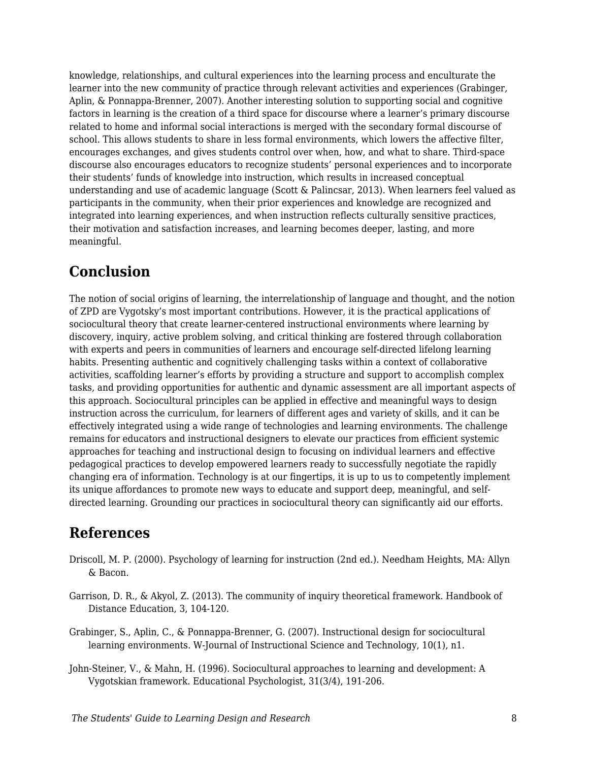knowledge, relationships, and cultural experiences into the learning process and enculturate the learner into the new community of practice through relevant activities and experiences (Grabinger, Aplin, & Ponnappa-Brenner, 2007). Another interesting solution to supporting social and cognitive factors in learning is the creation of a third space for discourse where a learner's primary discourse related to home and informal social interactions is merged with the secondary formal discourse of school. This allows students to share in less formal environments, which lowers the affective filter, encourages exchanges, and gives students control over when, how, and what to share. Third-space discourse also encourages educators to recognize students' personal experiences and to incorporate their students' funds of knowledge into instruction, which results in increased conceptual understanding and use of academic language (Scott & Palincsar, 2013). When learners feel valued as participants in the community, when their prior experiences and knowledge are recognized and integrated into learning experiences, and when instruction reflects culturally sensitive practices, their motivation and satisfaction increases, and learning becomes deeper, lasting, and more meaningful.

#### **Conclusion**

The notion of social origins of learning, the interrelationship of language and thought, and the notion of ZPD are Vygotsky's most important contributions. However, it is the practical applications of sociocultural theory that create learner-centered instructional environments where learning by discovery, inquiry, active problem solving, and critical thinking are fostered through collaboration with experts and peers in communities of learners and encourage self-directed lifelong learning habits. Presenting authentic and cognitively challenging tasks within a context of collaborative activities, scaffolding learner's efforts by providing a structure and support to accomplish complex tasks, and providing opportunities for authentic and dynamic assessment are all important aspects of this approach. Sociocultural principles can be applied in effective and meaningful ways to design instruction across the curriculum, for learners of different ages and variety of skills, and it can be effectively integrated using a wide range of technologies and learning environments. The challenge remains for educators and instructional designers to elevate our practices from efficient systemic approaches for teaching and instructional design to focusing on individual learners and effective pedagogical practices to develop empowered learners ready to successfully negotiate the rapidly changing era of information. Technology is at our fingertips, it is up to us to competently implement its unique affordances to promote new ways to educate and support deep, meaningful, and selfdirected learning. Grounding our practices in sociocultural theory can significantly aid our efforts.

## **References**

- Driscoll, M. P. (2000). Psychology of learning for instruction (2nd ed.). Needham Heights, MA: Allyn & Bacon.
- Garrison, D. R., & Akyol, Z. (2013). The community of inquiry theoretical framework. Handbook of Distance Education, 3, 104-120.
- Grabinger, S., Aplin, C., & Ponnappa-Brenner, G. (2007). Instructional design for sociocultural learning environments. W-Journal of Instructional Science and Technology, 10(1), n1.
- John-Steiner, V., & Mahn, H. (1996). Sociocultural approaches to learning and development: A Vygotskian framework. Educational Psychologist, 31(3/4), 191-206.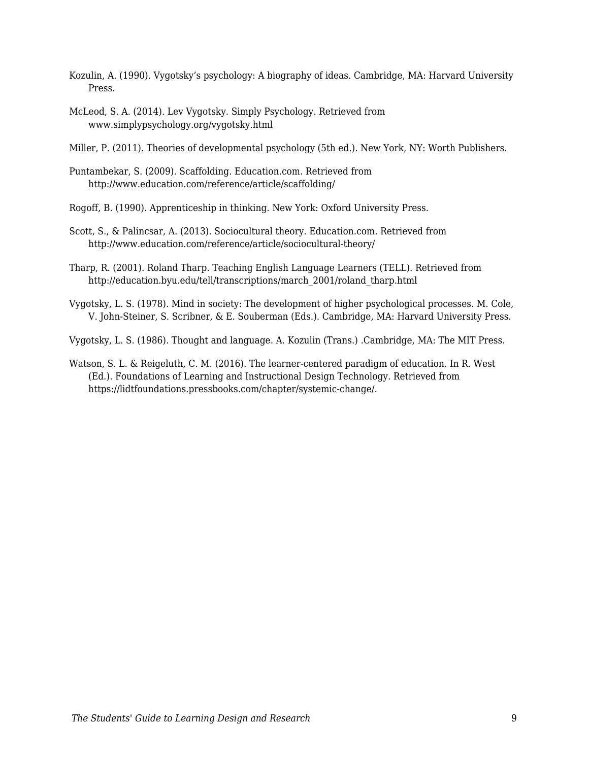- Kozulin, A. (1990). Vygotsky's psychology: A biography of ideas. Cambridge, MA: Harvard University Press.
- McLeod, S. A. (2014). Lev Vygotsky. Simply Psychology. Retrieved from www.simplypsychology.org/vygotsky.html

Miller, P. (2011). Theories of developmental psychology (5th ed.). New York, NY: Worth Publishers.

Puntambekar, S. (2009). Scaffolding. Education.com. Retrieved from http://www.education.com/reference/article/scaffolding/

Rogoff, B. (1990). Apprenticeship in thinking. New York: Oxford University Press.

- Scott, S., & Palincsar, A. (2013). Sociocultural theory. Education.com. Retrieved from http://www.education.com/reference/article/sociocultural-theory/
- Tharp, R. (2001). Roland Tharp. Teaching English Language Learners (TELL). Retrieved from http://education.byu.edu/tell/transcriptions/march\_2001/roland\_tharp.html
- Vygotsky, L. S. (1978). Mind in society: The development of higher psychological processes. M. Cole, V. John-Steiner, S. Scribner, & E. Souberman (Eds.). Cambridge, MA: Harvard University Press.

Vygotsky, L. S. (1986). Thought and language. A. Kozulin (Trans.) .Cambridge, MA: The MIT Press.

Watson, S. L. & Reigeluth, C. M. (2016). The learner-centered paradigm of education. In R. West (Ed.). Foundations of Learning and Instructional Design Technology. Retrieved from https://lidtfoundations.pressbooks.com/chapter/systemic-change/.